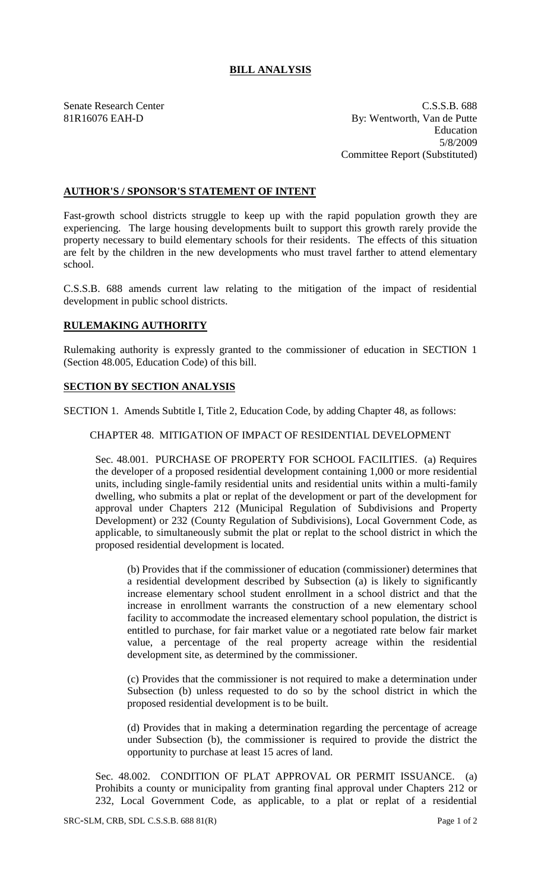## **BILL ANALYSIS**

Senate Research Center C.S.S.B. 688 81R16076 EAH-D By: Wentworth, Van de Putte Education 5/8/2009 Committee Report (Substituted)

## **AUTHOR'S / SPONSOR'S STATEMENT OF INTENT**

Fast-growth school districts struggle to keep up with the rapid population growth they are experiencing. The large housing developments built to support this growth rarely provide the property necessary to build elementary schools for their residents. The effects of this situation are felt by the children in the new developments who must travel farther to attend elementary school.

C.S.S.B. 688 amends current law relating to the mitigation of the impact of residential development in public school districts.

## **RULEMAKING AUTHORITY**

Rulemaking authority is expressly granted to the commissioner of education in SECTION 1 (Section 48.005, Education Code) of this bill.

## **SECTION BY SECTION ANALYSIS**

SECTION 1. Amends Subtitle I, Title 2, Education Code, by adding Chapter 48, as follows:

CHAPTER 48. MITIGATION OF IMPACT OF RESIDENTIAL DEVELOPMENT

Sec. 48.001. PURCHASE OF PROPERTY FOR SCHOOL FACILITIES. (a) Requires the developer of a proposed residential development containing 1,000 or more residential units, including single-family residential units and residential units within a multi-family dwelling, who submits a plat or replat of the development or part of the development for approval under Chapters 212 (Municipal Regulation of Subdivisions and Property Development) or 232 (County Regulation of Subdivisions), Local Government Code, as applicable, to simultaneously submit the plat or replat to the school district in which the proposed residential development is located.

(b) Provides that if the commissioner of education (commissioner) determines that a residential development described by Subsection (a) is likely to significantly increase elementary school student enrollment in a school district and that the increase in enrollment warrants the construction of a new elementary school facility to accommodate the increased elementary school population, the district is entitled to purchase, for fair market value or a negotiated rate below fair market value, a percentage of the real property acreage within the residential development site, as determined by the commissioner.

(c) Provides that the commissioner is not required to make a determination under Subsection (b) unless requested to do so by the school district in which the proposed residential development is to be built.

(d) Provides that in making a determination regarding the percentage of acreage under Subsection (b), the commissioner is required to provide the district the opportunity to purchase at least 15 acres of land.

Sec. 48.002. CONDITION OF PLAT APPROVAL OR PERMIT ISSUANCE. (a) Prohibits a county or municipality from granting final approval under Chapters 212 or 232, Local Government Code, as applicable, to a plat or replat of a residential